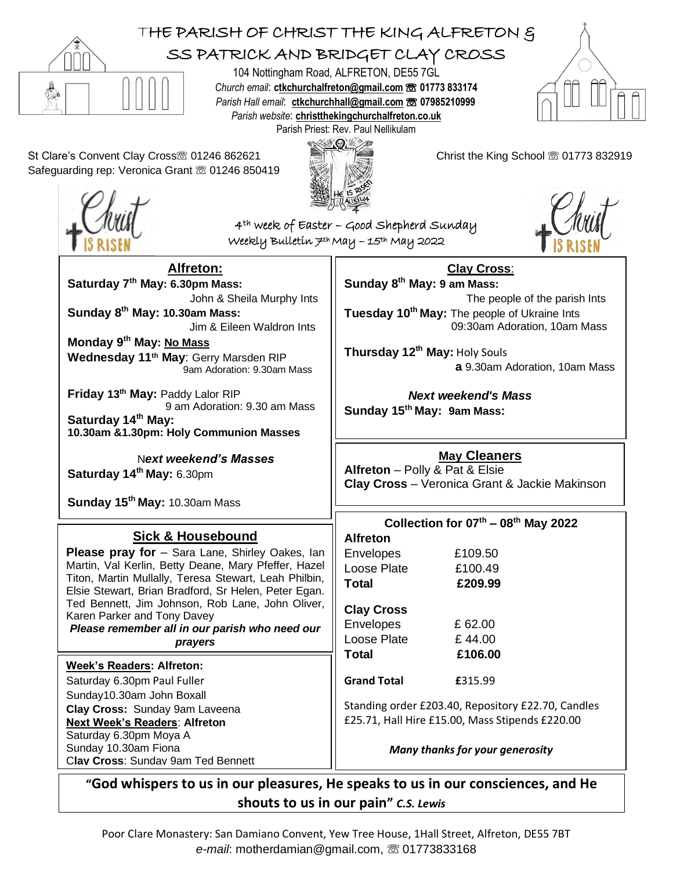

## THE PARISH OF CHRIST THE KING ALFRETON &

## SS PATRICK AND BRIDGET CLAY CROSS

104 Nottingham Road, ALFRETON, DE55 7GL *Church email*: **[ctkchurchalfreton@gmail.com](mailto:tkchurchalfreton@gmail.com%20☏%2001773%20833174)** ☏ **01773 833174** *Parish Hall email*: **[ctkchurchhall@gmail.com](mailto:ctkchurchhall@gmail.com)** ☏ **07985210999** *Parish website*: **christthekingchurchalfreton.co.uk** Parish Priest: Rev. Paul Nellikulam



St Clare's Convent Clay Cross<sup>®</sup> 01246 862621 Christ the King School <sup>®</sup> 01773 832919 Safeguarding rep: Veronica Grant ☏ 01246 850419

**Saturday 7 th May: 6.30pm Mass:** 

**Sunday 8 th May: 10.30am Mass:** 

**Friday 13th May:** Paddy Lalor RIP

**Saturday 14th May:** 6.30pm

**Wednesday 11th May**: Gerry Marsden RIP

**10.30am &1.30pm: Holy Communion Masses**

N*ext weekend's Masses*

**Monday 9 th May: No Mass**

**Saturday 14th May:**

**Alfreton:**

John & Sheila Murphy Ints

Jim & Eileen Waldron Ints

9am Adoration: 9.30am Mass

9 am Adoration: 9.30 am Mass





4th week of Easter – Good Shepherd Sunday Weekly Bulletin 7th May – 15th May 2022



**Clay Cross**: **Sunday 8 th May: 9 am Mass:**  The people of the parish Ints **Tuesday 10th May:** The people of Ukraine Ints 09:30am Adoration, 10am Mass

**Thursday 12th May:** Holy Souls  **a** 9.30am Adoration, 10am Mass

 *Next weekend's Mass* **Sunday 15th May: 9am Mass:** 

**May Cleaners**

**Alfreton** – Polly & Pat & Elsie **Clay Cross** – Veronica Grant & Jackie Makinson

|                                                                                                               |                                                    | <b>Clay Cross</b> – Veronica Grant & Jackie Makinson |
|---------------------------------------------------------------------------------------------------------------|----------------------------------------------------|------------------------------------------------------|
| Sunday 15 <sup>th</sup> May: 10.30am Mass                                                                     |                                                    |                                                      |
|                                                                                                               | Collection for $07th - 08th$ May 2022              |                                                      |
| <b>Sick &amp; Housebound</b>                                                                                  | <b>Alfreton</b>                                    |                                                      |
| <b>Please pray for</b> - Sara Lane, Shirley Oakes, lan                                                        | <b>Envelopes</b>                                   | £109.50                                              |
| Martin, Val Kerlin, Betty Deane, Mary Pfeffer, Hazel                                                          | Loose Plate                                        | £100.49                                              |
| Titon, Martin Mullally, Teresa Stewart, Leah Philbin,<br>Elsie Stewart, Brian Bradford, Sr Helen, Peter Egan. | Total                                              | £209.99                                              |
| Ted Bennett, Jim Johnson, Rob Lane, John Oliver,<br>Karen Parker and Tony Davey                               | <b>Clay Cross</b>                                  |                                                      |
| Please remember all in our parish who need our                                                                | Envelopes                                          | £ 62.00                                              |
| prayers                                                                                                       | Loose Plate                                        | £44.00                                               |
| <b>Week's Readers: Alfreton:</b>                                                                              | Total                                              | £106.00                                              |
| Saturday 6.30pm Paul Fuller                                                                                   | <b>Grand Total</b>                                 | £315.99                                              |
| Sunday10.30am John Boxall                                                                                     |                                                    |                                                      |
| Clay Cross: Sunday 9am Laveena                                                                                | Standing order £203.40, Repository £22.70, Candles |                                                      |
| <b>Next Week's Readers: Alfreton</b>                                                                          | £25.71, Hall Hire £15.00, Mass Stipends £220.00    |                                                      |
| Saturday 6.30pm Moya A                                                                                        |                                                    |                                                      |
| Sunday 10.30am Fiona                                                                                          | Many thanks for your generosity                    |                                                      |
| Clav Cross: Sundav 9am Ted Bennett                                                                            |                                                    |                                                      |

**"God whispers to us in our pleasures, He speaks to us in our consciences, and He shouts to us in our pain"** *C.S. Lewis*

Poor Clare Monastery: San Damiano Convent, Yew Tree House, 1Hall Street, Alfreton, DE55 7BT *e-mail*: motherdamian@gmail.com, ☏ 01773833168